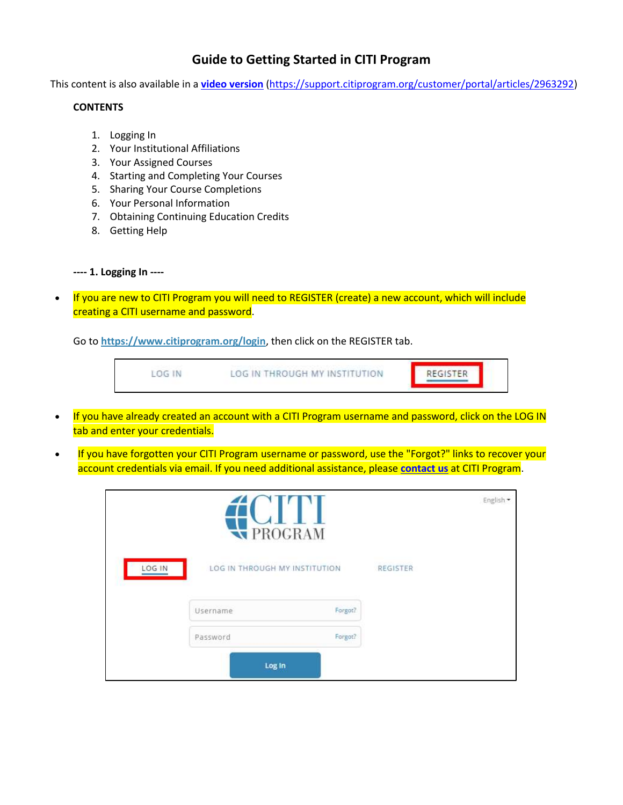## **Guide to Getting Started in CITI Program**

This content is also available in a **[video version](https://support.citiprogram.org/customer/portal/articles/2963292)** [\(https://support.citiprogram.org/customer/portal/articles/2963292\)](https://support.citiprogram.org/customer/portal/articles/2963292)

#### **CONTENTS**

- 1. Logging In
- 2. Your Institutional Affiliations
- 3. Your Assigned Courses
- 4. Starting and Completing Your Courses
- 5. Sharing Your Course Completions
- 6. Your Personal Information
- 7. Obtaining Continuing Education Credits
- 8. Getting Help

```
---- 1. Logging In ----
```
• If you are new to CITI Program you will need to REGISTER (create) a new account, which will include creating a CITI username and password.

Go to **<https://www.citiprogram.org/login>**, then click on the REGISTER tab.

| DG IN | LOG IN THROUGH MY INSTITUTION | <b>REGISTER</b> |
|-------|-------------------------------|-----------------|
|-------|-------------------------------|-----------------|

- If you have already created an account with a CITI Program username and password, click on the LOG IN tab and enter your credentials.
- If you have forgotten your CITI Program username or password, use the "Forgot?" links to recover your account credentials via email. If you need additional assistance, please **[contact](https://about.citiprogram.org/en/contact-us/) us** at CITI Program.

|        |                                           | English - |                 |  |
|--------|-------------------------------------------|-----------|-----------------|--|
| LOG IN | LOG IN THROUGH MY INSTITUTION<br>Username | Forgot?   | <b>REGISTER</b> |  |
|        | Password<br>Log In                        | Forgot?   |                 |  |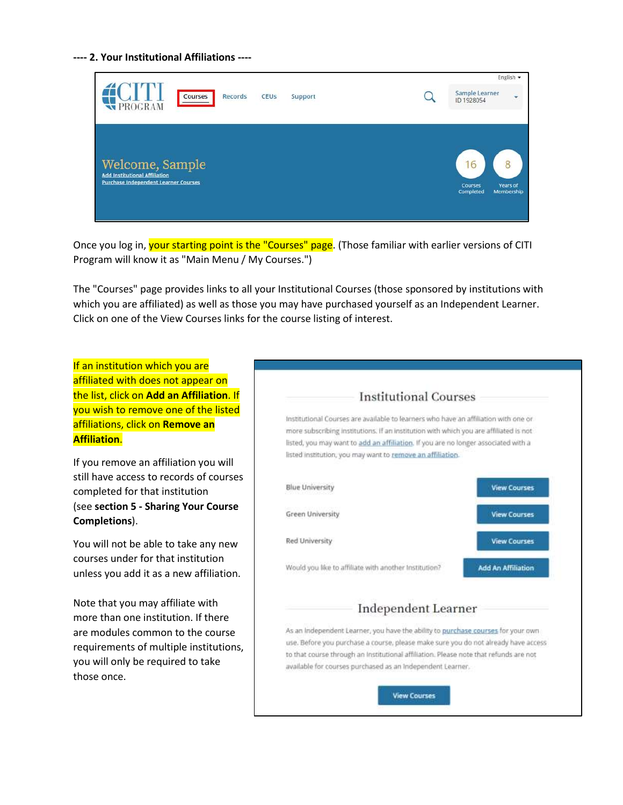**---- 2. Your Institutional Affiliations ----**

| Courses<br>Records<br>CEUS<br>Support<br>PROGRAM                                                       | English +<br>Sample Learner<br>ID 1928054                   |
|--------------------------------------------------------------------------------------------------------|-------------------------------------------------------------|
| Welcome, Sample<br><b>Add Institutional Affiliation</b><br><b>Purchase Independent Learner Courses</b> | 16<br>Years of<br><b>Courses</b><br>Completed<br>Membership |

Once you log in, your starting point is the "Courses" page. (Those familiar with earlier versions of CITI Program will know it as "Main Menu / My Courses.")

The "Courses" page provides links to all your Institutional Courses (those sponsored by institutions with which you are affiliated) as well as those you may have purchased yourself as an Independent Learner. Click on one of the View Courses links for the course listing of interest.

If an institution which you are affiliated with does not appear on the list, click on **Add an Affiliation**. If you wish to remove one of the listed affiliations, click on **Remove an Affiliation**.

If you remove an affiliation you will still have access to records of courses completed for that institution (see **section 5 - Sharing Your Course Completions**).

You will not be able to take any new courses under for that institution unless you add it as a new affiliation.

Note that you may affiliate with more than one institution. If there are modules common to the course requirements of multiple institutions, you will only be required to take those once.

# **Institutional Courses**

Institutional Courses are available to learners who have an affiliation with one or more subscribing institutions. If an institution with which you are affiliated is not listed, you may want to add an affiliation. If you are no longer associated with a listed institution, you may want to remove an affiliation.



As an independent Learner, you have the ability to purchase courses for your own use. Before you purchase a course, please make sure you do not already have access to that course through an Institutional affiliation. Please note that refunds are not available for courses purchased as an Independent Learner.

**View Courses**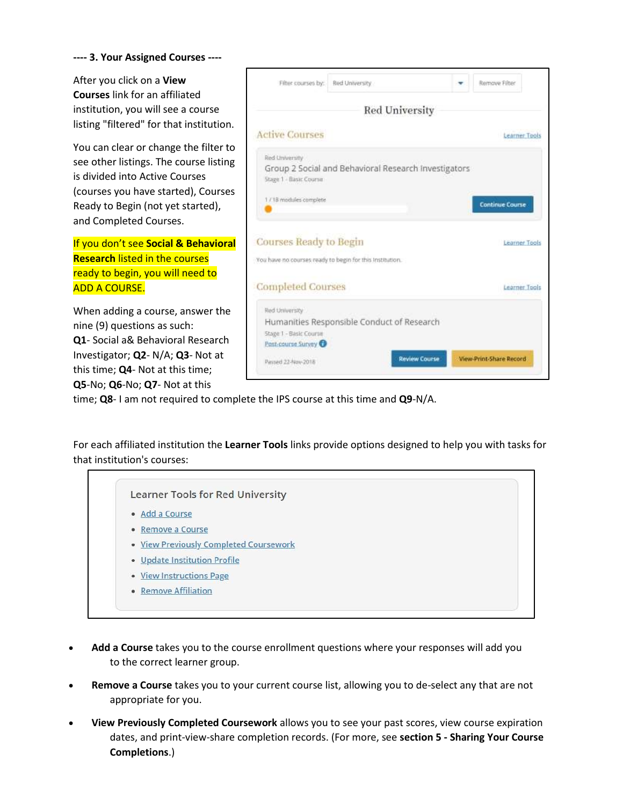#### **---- 3. Your Assigned Courses ----**

After you click on a **View Courses** link for an affiliated institution, you will see a course listing "filtered" for that institution.

You can clear or change the filter to see other listings. The course listing is divided into Active Courses (courses you have started), Courses Ready to Begin (not yet started), and Completed Courses.

If you don't see **Social & Behavioral Research** listed in the courses ready to begin, you will need to ADD A COURSE.

When adding a course, answer the nine (9) questions as such: **Q1**- Social a& Behavioral Research Investigator; **Q2**- N/A; **Q3**- Not at this time; **Q4**- Not at this time; **Q5**-No; **Q6**-No; **Q7**- Not at this



time; **Q8**- I am not required to complete the IPS course at this time and **Q9**-N/A.

For each affiliated institution the **Learner Tools** links provide options designed to help you with tasks for that institution's courses:

Learner Tools for Red University · Add a Course • Remove a Course • View Previously Completed Coursework • Update Institution Profile · View Instructions Page • Remove Affiliation

- **Add a Course** takes you to the course enrollment questions where your responses will add you to the correct learner group.
- **Remove a Course** takes you to your current course list, allowing you to de-select any that are not appropriate for you.
- **View Previously Completed Coursework** allows you to see your past scores, view course expiration dates, and print-view-share completion records. (For more, see **section 5 - Sharing Your Course Completions**.)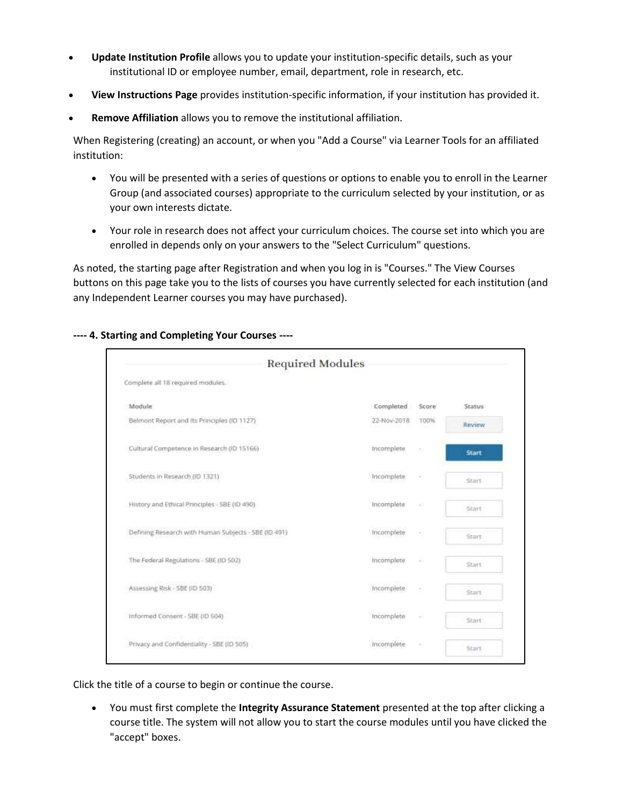- **Update Institution Profile** allows you to update your institution-specific details, such as your institutional ID or employee number, email, department, role in research, etc.
- **View Instructions Page** provides institution-specific information, if your institution has provided it.
- **Remove Affiliation** allows you to remove the institutional affiliation.

When Registering (creating) an account, or when you "Add a Course" via Learner Tools for an affiliated institution:

- You will be presented with a series of questions or options to enable you to enroll in the Learner Group (and associated courses) appropriate to the curriculum selected by your institution, or as your own interests dictate.
- Your role in research does not affect your curriculum choices. The course set into which you are enrolled in depends only on your answers to the "Select Curriculum" questions.

As noted, the starting page after Registration and when you log in is "Courses." The View Courses buttons on this page take you to the lists of courses you have currently selected for each institution (and any Independent Learner courses you may have purchased).

| <b>Required Modules</b>                                |             |        |              |
|--------------------------------------------------------|-------------|--------|--------------|
| Complete all 18 required modules.                      |             |        |              |
| Module                                                 | Completed   | Score  | Status       |
| Belmont Report and Its Principles (ID 1127)            | 22-Nov-2018 | 100%   | Review       |
| Cultural Competence in Research (ID 15166)             | Incomplete  | ×      | <b>Start</b> |
| Students in Research (ID 1321)                         | Incomplete  | ω      | Start        |
| History and Ethical Principles - SBE (ID 490)          | incomplete  | ¥.     | Start.       |
| Defining Research with Human Subjects - SBE (ID 491)   | Incomplete  | $\sim$ | Start        |
| The Federal Regulations - SBE (ID SD2)                 | Incomplete  | 92     | Start.       |
| THE CALLENGAL CONTROL<br>Assessing Risk - SBE (ID 503) | Incomplete  | $\sim$ | Start.       |
| Informed Consent - SBE (ID 504)                        | Incomplete  | ä.     | Start        |
| Privacy and Confidentiality - SBE (ID 505)             | incomplete. | 大      | Start        |

**---- 4. Starting and Completing Your Courses ----**

Click the title of a course to begin or continue the course.

• You must first complete the **Integrity Assurance Statement** presented at the top after clicking a course title. The system will not allow you to start the course modules until you have clicked the "accept" boxes.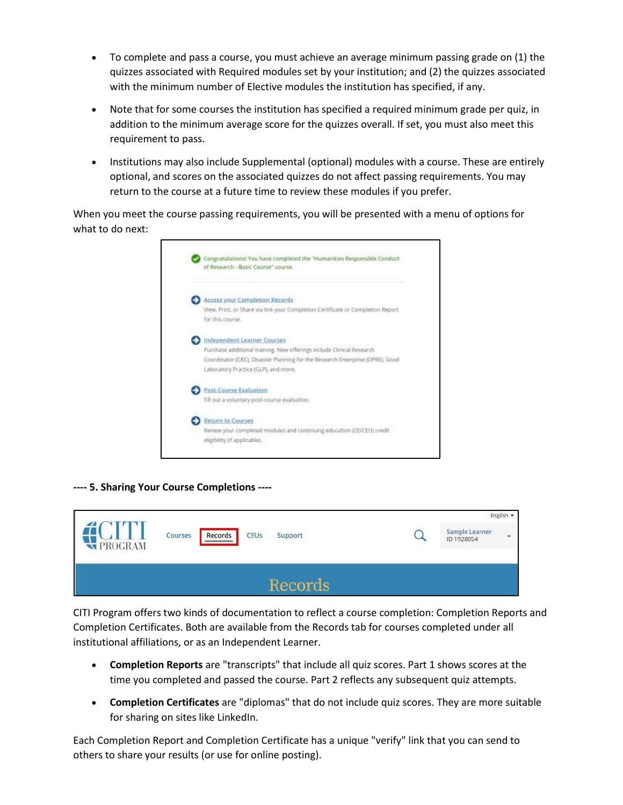- To complete and pass a course, you must achieve an average minimum passing grade on (1) the quizzes associated with Required modules set by your institution; and (2) the quizzes associated with the minimum number of Elective modules the institution has specified, if any.
- Note that for some courses the institution has specified a required minimum grade per quiz, in addition to the minimum average score for the quizzes overall. If set, you must also meet this requirement to pass.
- Institutions may also include Supplemental (optional) modules with a course. These are entirely optional, and scores on the associated quizzes do not affect passing requirements. You may return to the course at a future time to review these modules if you prefer.

When you meet the course passing requirements, you will be presented with a menu of options for what to do next:

| of Research - Basic Course" course.                                                                 |
|-----------------------------------------------------------------------------------------------------|
| <b>Access your Completion Records</b>                                                               |
| View, Print, or Share via link your Completion Certificate or Completion Report<br>for this course. |
| Independent Learner Courses                                                                         |
| Purchase additional training. New offerings include Clinical Research                               |
| Coordinator (CRC), Disaster Planning for the Research Enterprise (DPRE), Good                       |
| Laboratory Practice (GLP), and more,                                                                |
| Post-Course Evaluation                                                                              |
| Fill out a voluntary post-course evaluation.                                                        |
| <b>Return to Courses</b>                                                                            |
| Review your completed modules and continuing education (CE/CEU) credit                              |
| eligibility (if applicable).                                                                        |

**---- 5. Sharing Your Course Completions ----**

| PROGRAM | Records<br>Courses<br>CEUs<br>Support | English $\star$<br>Sample Learner<br>ID 1928054 |
|---------|---------------------------------------|-------------------------------------------------|
|         | Records                               |                                                 |

CITI Program offers two kinds of documentation to reflect a course completion: Completion Reports and Completion Certificates. Both are available from the Records tab for courses completed under all institutional affiliations, or as an Independent Learner.

- **Completion Reports** are "transcripts" that include all quiz scores. Part 1 shows scores at the time you completed and passed the course. Part 2 reflects any subsequent quiz attempts.
- **Completion Certificates** are "diplomas" that do not include quiz scores. They are more suitable for sharing on sites like LinkedIn.

Each Completion Report and Completion Certificate has a unique "verify" link that you can send to others to share your results (or use for online posting).